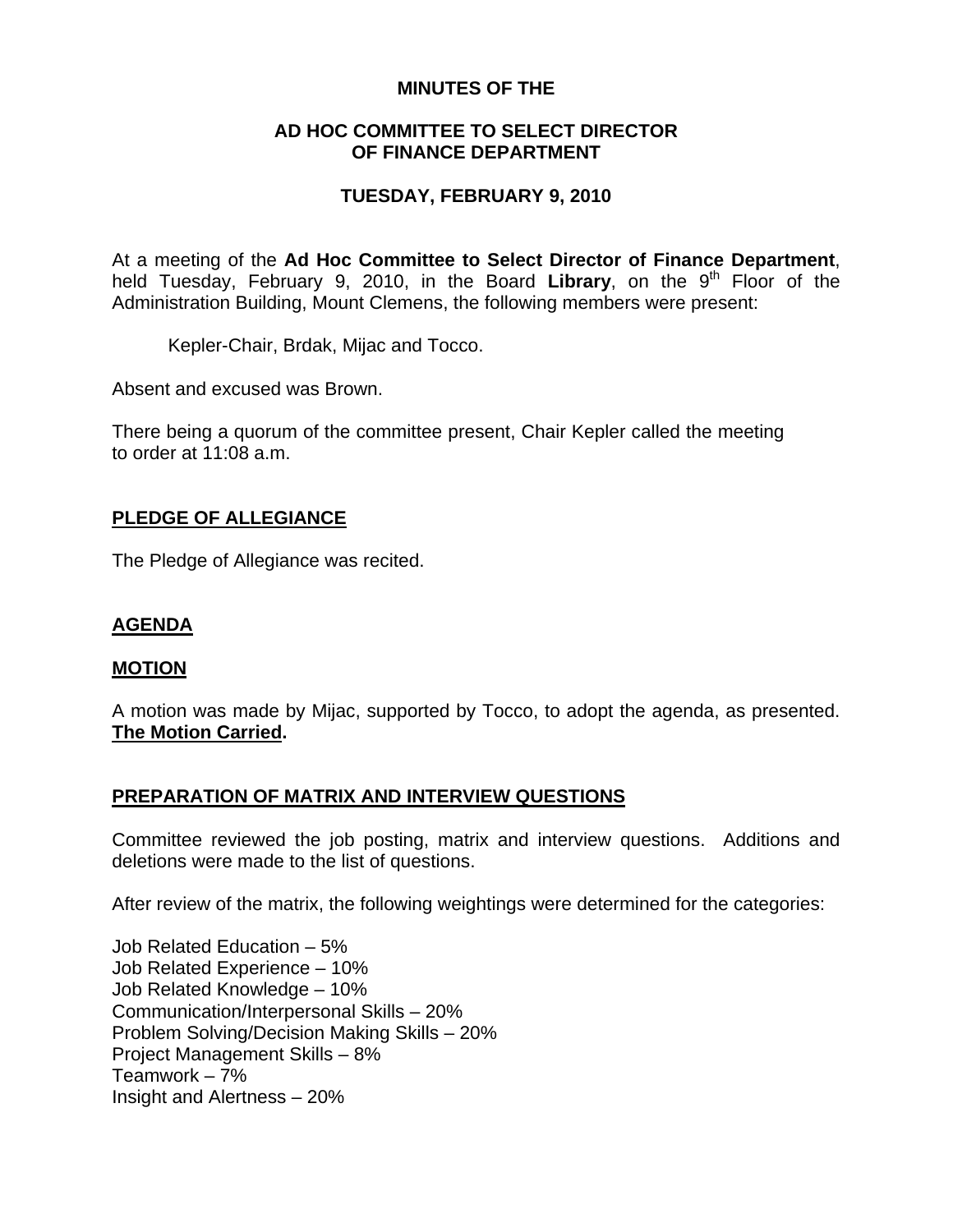#### **MINUTES OF THE**

#### **AD HOC COMMITTEE TO SELECT DIRECTOR OF FINANCE DEPARTMENT**

## **TUESDAY, FEBRUARY 9, 2010**

At a meeting of the **Ad Hoc Committee to Select Director of Finance Department**, held Tuesday, February 9, 2010, in the Board Library, on the 9<sup>th</sup> Floor of the Administration Building, Mount Clemens, the following members were present:

Kepler-Chair, Brdak, Mijac and Tocco.

Absent and excused was Brown.

There being a quorum of the committee present, Chair Kepler called the meeting to order at 11:08 a.m.

# **PLEDGE OF ALLEGIANCE**

The Pledge of Allegiance was recited.

## **AGENDA**

#### **MOTION**

A motion was made by Mijac, supported by Tocco, to adopt the agenda, as presented. **The Motion Carried.** 

## **PREPARATION OF MATRIX AND INTERVIEW QUESTIONS**

Committee reviewed the job posting, matrix and interview questions. Additions and deletions were made to the list of questions.

After review of the matrix, the following weightings were determined for the categories:

Job Related Education – 5% Job Related Experience – 10% Job Related Knowledge – 10% Communication/Interpersonal Skills – 20% Problem Solving/Decision Making Skills – 20% Project Management Skills – 8% Teamwork – 7% Insight and Alertness – 20%